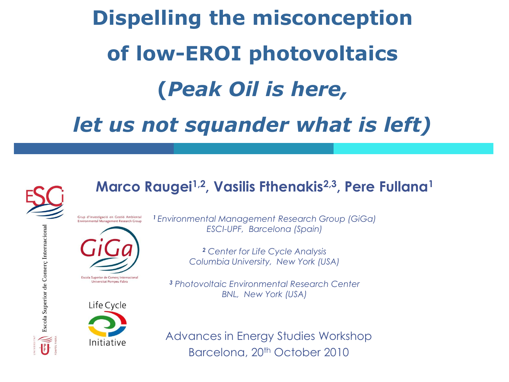# **Dispelling the misconception of low-EROI photovoltaics (***Peak Oil is here, let us not squander what is left)*



Escola Superior de Comerç Internacional

#### **Marco Raugei1,2, Vasilis Fthenakis2,3, Pere Fullana<sup>1</sup>**

Grup d'Investigació en Gestió Ambiental Environmental Management Research Group



Escola Superior de Comerç Internacional Universitat Pompeu Fabra



*<sup>1</sup>Environmental Management Research Group (GiGa) ESCI-UPF, Barcelona (Spain)*

> *<sup>2</sup> Center for Life Cycle Analysis Columbia University, New York (USA)*

*<sup>3</sup> Photovoltaic Environmental Research Center BNL, New York (USA)*

Advances in Energy Studies Workshop Barcelona, 20th October 2010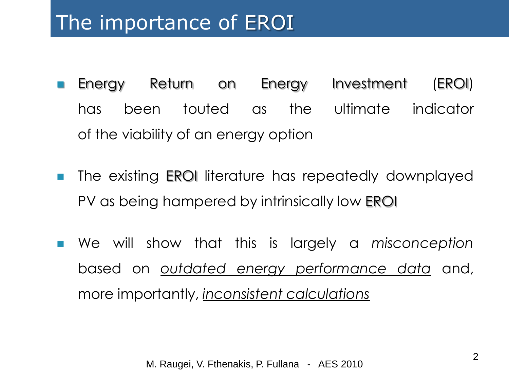### The importance of EROI

- **Energy Return on Energy Investment (EROI)** has been touted as the ultimate indicator of the viability of an energy option
- **The existing EROI literature has repeatedly downplayed** PV as being hampered by intrinsically low EROI
- We will show that this is largely a *misconception* based on *outdated energy performance data* and, more importantly, *inconsistent calculations*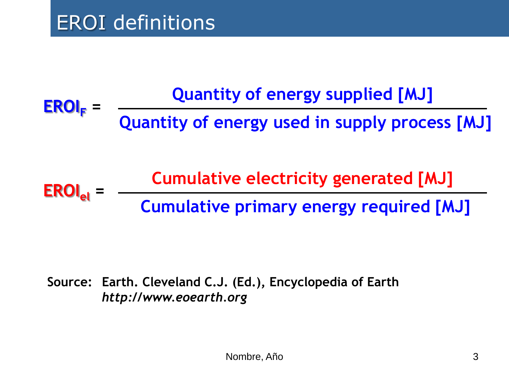**EROI<sup>F</sup> = Quantity of energy supplied [MJ] Quantity of energy used in supply process [MJ]** 

**EROIel = Cumulative electricity generated [MJ] Cumulative primary energy required [MJ]** 

**Source: Earth. Cleveland C.J. (Ed.), Encyclopedia of Earth**  *http://www.eoearth.org*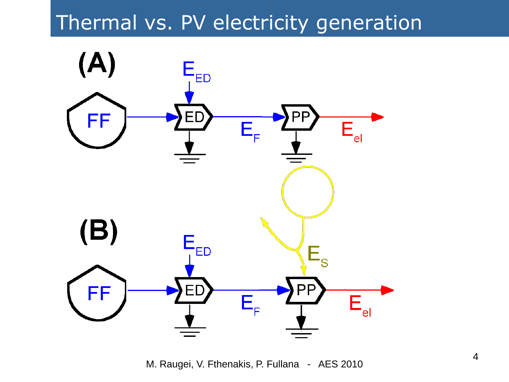### Thermal vs. PV electricity generation



M. Raugei, V. Fthenakis, P. Fullana - AES 2010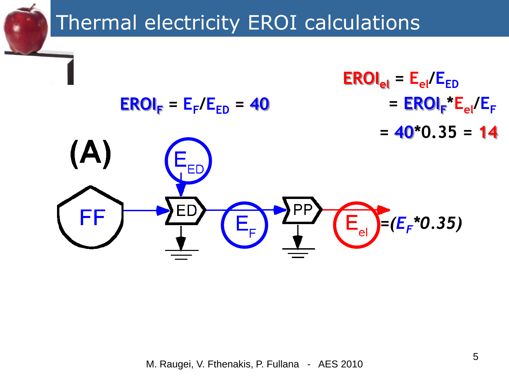# **Thermal electricity EROI calculations**

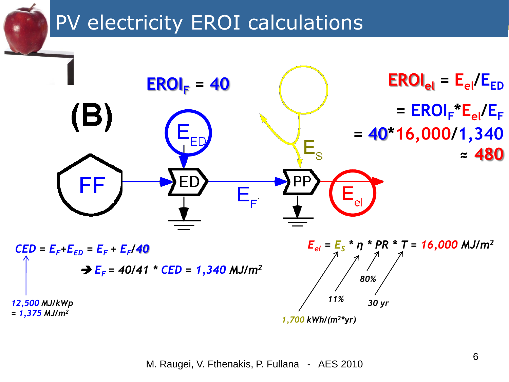## **PV electricity EROI calculations**

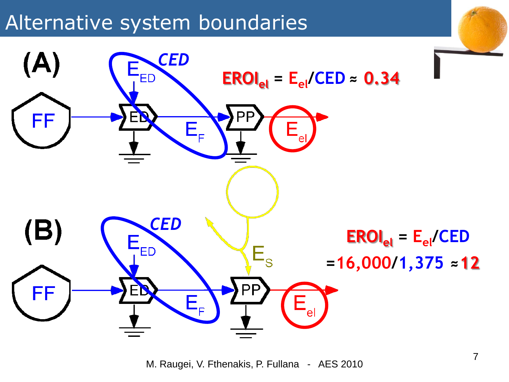#### Alternative system boundaries



M. Raugei, V. Fthenakis, P. Fullana - AES 2010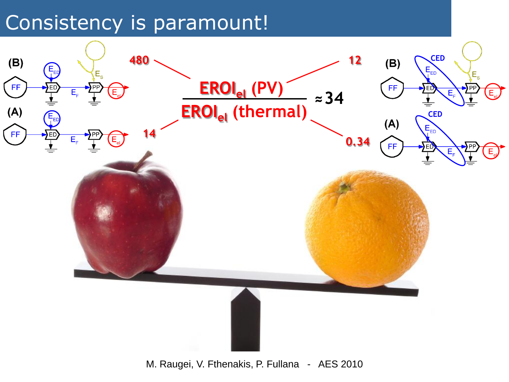#### Consistency is paramount!



M. Raugei, V. Fthenakis, P. Fullana - AES 2010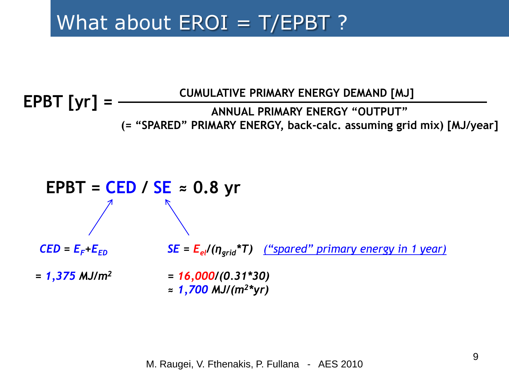### What about  $EROI = T/EPBT$  ?

#### **EPBT [yr] = CUMULATIVE PRIMARY ENERGY DEMAND [MJ] ANNUAL PRIMARY ENERGY "OUTPUT" (= "SPARED" PRIMARY ENERGY, back-calc. assuming grid mix) [MJ/year]**

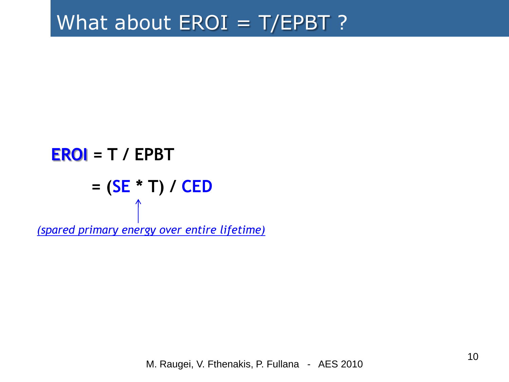#### What about EROI = T/EPBT ?

**EROI** = T / EPBT

\n
$$
= (SE * T) / CED
$$

\n
$$
\uparrow
$$

\n(spared primary energy over entire lifetime)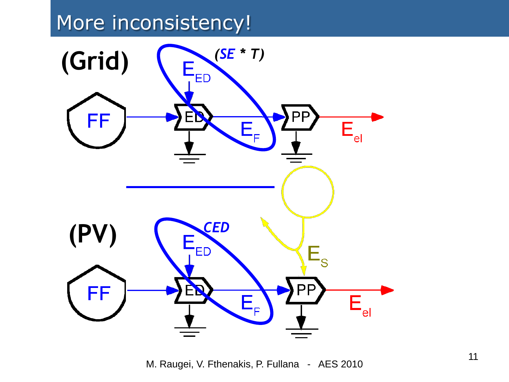### More inconsistency!



M. Raugei, V. Fthenakis, P. Fullana - AES 2010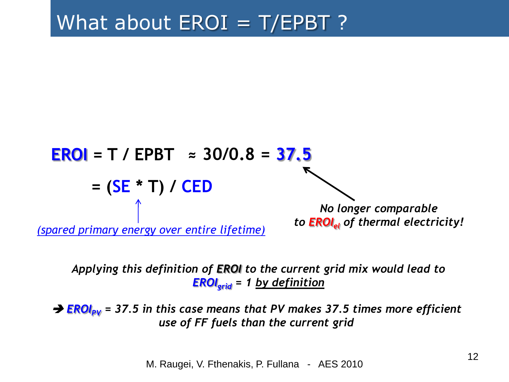

*Applying this definition of EROI to the current grid mix would lead to EROIgrid = 1 by definition*

→ **EROI<sub>PV</sub>** = 37.5 in this case means that PV makes 37.5 times more efficient *use of FF fuels than the current grid*

M. Raugei, V. Fthenakis, P. Fullana - AES 2010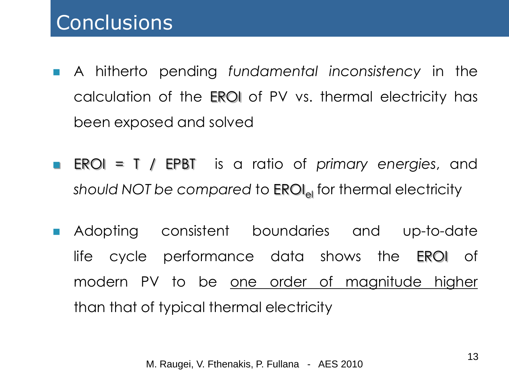- A hitherto pending *fundamental inconsistency* in the calculation of the EROI of PV vs. thermal electricity has been exposed and solved
- EROI = T / EPBT is a ratio of *primary energies*, and *should NOT* be compared to **EROI**<sub>el</sub> for thermal electricity
- **Adopting consistent boundaries and up-to-date** life cycle performance data shows the EROI of modern PV to be <u>one order of magnitude higher</u> than that of typical thermal electricity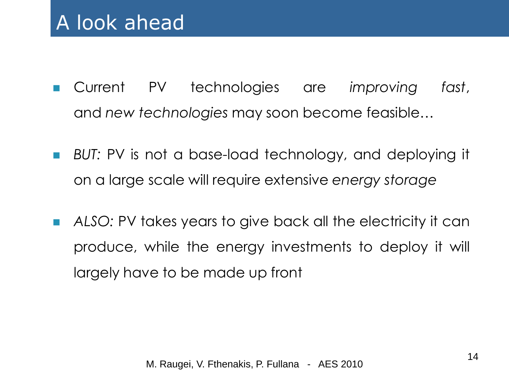- Current PV technologies are *improving fast*, and *new technologies* may soon become feasible…
- **BUT:** PV is not a base-load technology, and deploying it on a large scale will require extensive *energy storage*
- *ALSO:* PV takes years to give back all the electricity it can produce, while the energy investments to deploy it will largely have to be made up front